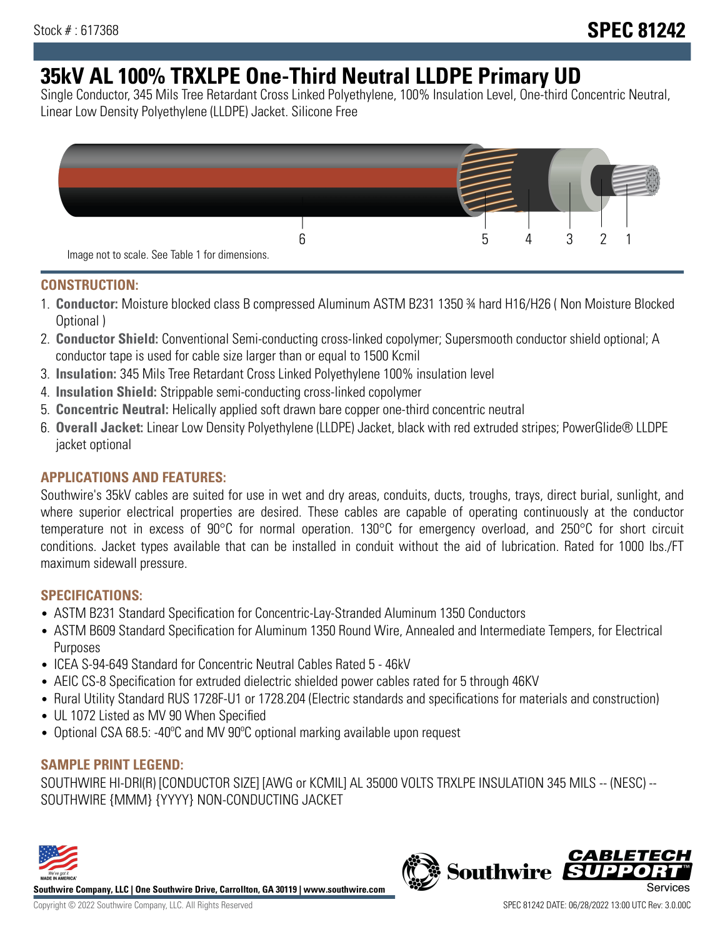# **35kV AL 100% TRXLPE One-Third Neutral LLDPE Primary UD**

Single Conductor, 345 Mils Tree Retardant Cross Linked Polyethylene, 100% Insulation Level, One-third Concentric Neutral, Linear Low Density Polyethylene (LLDPE) Jacket. Silicone Free



## **CONSTRUCTION:**

- 1. **Conductor:** Moisture blocked class B compressed Aluminum ASTM B231 1350 ¾ hard H16/H26 ( Non Moisture Blocked Optional )
- 2. **Conductor Shield:** Conventional Semi-conducting cross-linked copolymer; Supersmooth conductor shield optional; A conductor tape is used for cable size larger than or equal to 1500 Kcmil
- 3. **Insulation:** 345 Mils Tree Retardant Cross Linked Polyethylene 100% insulation level
- 4. **Insulation Shield:** Strippable semi-conducting cross-linked copolymer
- 5. **Concentric Neutral:** Helically applied soft drawn bare copper one-third concentric neutral
- 6. **Overall Jacket:** Linear Low Density Polyethylene (LLDPE) Jacket, black with red extruded stripes; PowerGlide® LLDPE jacket optional

## **APPLICATIONS AND FEATURES:**

Southwire's 35kV cables are suited for use in wet and dry areas, conduits, ducts, troughs, trays, direct burial, sunlight, and where superior electrical properties are desired. These cables are capable of operating continuously at the conductor temperature not in excess of 90°C for normal operation. 130°C for emergency overload, and 250°C for short circuit conditions. Jacket types available that can be installed in conduit without the aid of lubrication. Rated for 1000 lbs./FT maximum sidewall pressure.

## **SPECIFICATIONS:**

- ASTM B231 Standard Specification for Concentric-Lay-Stranded Aluminum 1350 Conductors
- ASTM B609 Standard Specification for Aluminum 1350 Round Wire, Annealed and Intermediate Tempers, for Electrical Purposes
- ICEA S-94-649 Standard for Concentric Neutral Cables Rated 5 46kV
- AEIC CS-8 Specification for extruded dielectric shielded power cables rated for 5 through 46KV
- Rural Utility Standard RUS 1728F-U1 or 1728.204 (Electric standards and specifications for materials and construction)
- UL 1072 Listed as MV 90 When Specified
- Optional CSA 68.5: -40ºC and MV 90ºC optional marking available upon request

## **SAMPLE PRINT LEGEND:**

SOUTHWIRE HI-DRI(R) [CONDUCTOR SIZE] [AWG or KCMIL] AL 35000 VOLTS TRXLPE INSULATION 345 MILS -- (NESC) -- SOUTHWIRE {MMM} {YYYY} NON-CONDUCTING JACKET



**Southwire Company, LLC | One Southwire Drive, Carrollton, GA 30119 | www.southwire.com**

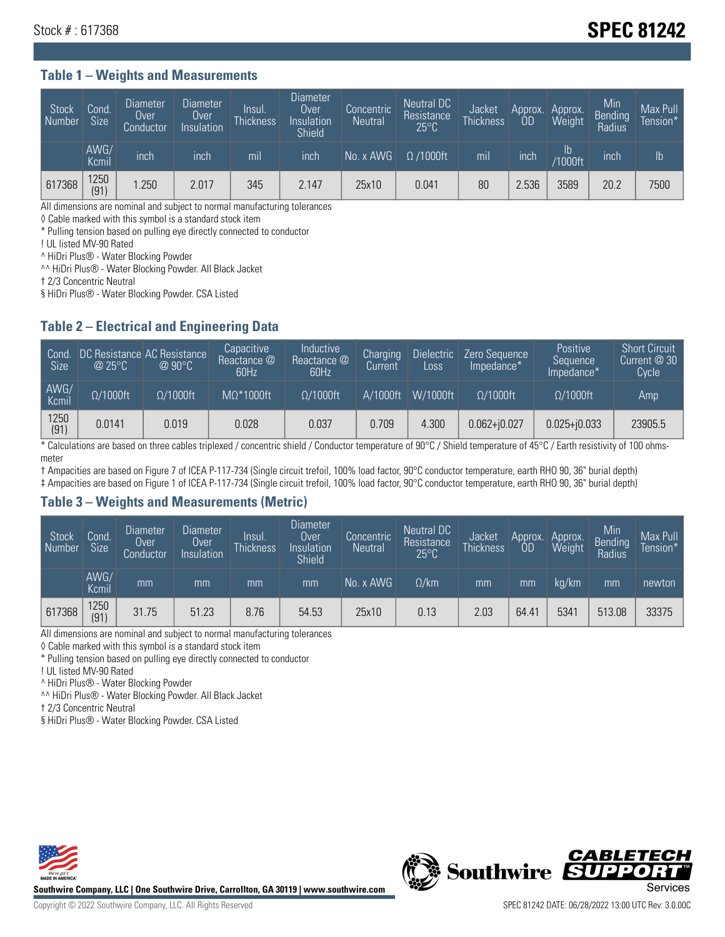# Stock # : 617368 **SPEC 81242**

#### **Table 1 – Weights and Measurements**

| Stock<br>Number | Cond.<br>Size <sup>1</sup> | <b>Diameter</b><br>Over<br>Conductor | <b>Diameter</b><br>Over<br>Insulation | <b>Insul</b><br><b>Thickness</b> | <b>Diameter</b><br>Over<br>Insulation<br>Shield | Concentric<br><b>Neutral</b> | Neutral DC<br>Resistance<br>$25^{\circ}$ C | Jacket<br><b>Thickness</b> | Approx.<br>OD | Approx.<br>Weight    | Min<br><b>Bending</b><br>Radius | Max Pull<br>Tension*' |
|-----------------|----------------------------|--------------------------------------|---------------------------------------|----------------------------------|-------------------------------------------------|------------------------------|--------------------------------------------|----------------------------|---------------|----------------------|---------------------------------|-----------------------|
|                 | AWG/<br>Kcmil              | inch                                 | inch                                  | m <sub>l</sub>                   | inch                                            | No. x AWG                    | $\Omega$ /1000ft                           | mil                        | inch          | Ib<br><b>Y1000ft</b> | inch                            | Ib                    |
| 617368          | 1250<br>(91)               | .250                                 | 2.017                                 | 345                              | 2.147                                           | 25x10                        | 0.041                                      | 80                         | 2.536         | 3589                 | 20.2                            | 7500                  |

All dimensions are nominal and subject to normal manufacturing tolerances

◊ Cable marked with this symbol is a standard stock item

\* Pulling tension based on pulling eye directly connected to conductor

! UL listed MV-90 Rated

^ HiDri Plus® - Water Blocking Powder

^^ HiDri Plus® - Water Blocking Powder. All Black Jacket

† 2/3 Concentric Neutral

§ HiDri Plus® - Water Blocking Powder. CSA Listed

## **Table 2 – Electrical and Engineering Data**

| Cond.<br><b>Size</b> | $\omega$ 25°C    | DC Resistance AC Resistance<br>$@90^{\circ}C$ | Capacitive<br>Reactance @<br>60Hz | Inductive<br>Reactance @<br>60Hz | Charging<br>Current | <b>Dielectric</b><br>Loss | Zero Sequence<br>Impedance* | <b>Positive</b><br>Sequence<br>Impedance* | <b>Short Circuit</b><br>Current $@30"$<br>Cycle |
|----------------------|------------------|-----------------------------------------------|-----------------------------------|----------------------------------|---------------------|---------------------------|-----------------------------|-------------------------------------------|-------------------------------------------------|
| AWG/<br>Kcmil        | $\Omega/1000$ ft | $\Omega/1000$ ft                              | $MO^*1000ft$                      | $\Omega/1000$ ft                 | A/1000ft            | W/1000ft                  | $\Omega/1000$ ft            | $\Omega/1000$ ft                          | Amp                                             |
| 1250<br>(91)         | 0.0141           | 0.019                                         | 0.028                             | 0.037                            | 0.709               | 4.300                     | $0.062 + j0.027$            | $0.025 + j0.033$                          | 23905.5                                         |

\* Calculations are based on three cables triplexed / concentric shield / Conductor temperature of 90°C / Shield temperature of 45°C / Earth resistivity of 100 ohmsmeter

† Ampacities are based on Figure 7 of ICEA P-117-734 (Single circuit trefoil, 100% load factor, 90°C conductor temperature, earth RHO 90, 36" burial depth)

‡ Ampacities are based on Figure 1 of ICEA P-117-734 (Single circuit trefoil, 100% load factor, 90°C conductor temperature, earth RHO 90, 36" burial depth)

## **Table 3 – Weights and Measurements (Metric)**

| Stock<br>Number | Cond.<br><b>Size</b> | <b>Diameter</b><br>Over<br>Conductor | Diameter<br>Over<br>Insulation | Insul.<br><b>Thickness</b> | <b>Diameter</b><br>Over<br>Insulation<br><b>Shield</b> | Concentric<br><b>Neutral</b> | Neutral DC<br>Resistance<br>$25^{\circ}$ C | Jacket<br><b>Thickness</b> | <b>OD</b> | Approx. Approx.<br>Weight | Min<br>Bending<br>Radius | Max Pull<br>Tension* |
|-----------------|----------------------|--------------------------------------|--------------------------------|----------------------------|--------------------------------------------------------|------------------------------|--------------------------------------------|----------------------------|-----------|---------------------------|--------------------------|----------------------|
|                 | AWG/<br>Kcmil        | mm                                   | mm                             | mm                         | mm                                                     | No. x AWG                    | $\Omega$ /km                               | mm                         | mm        | ka/km                     | mm                       | newton               |
| 617368          | 1250<br>(91)         | 31.75                                | 51.23                          | 8.76                       | 54.53                                                  | 25x10                        | 0.13                                       | 2.03                       | 64.41     | 5341                      | 513.08                   | 33375                |

All dimensions are nominal and subject to normal manufacturing tolerances

◊ Cable marked with this symbol is a standard stock item

\* Pulling tension based on pulling eye directly connected to conductor

! UL listed MV-90 Rated

^ HiDri Plus® - Water Blocking Powder

^^ HiDri Plus® - Water Blocking Powder. All Black Jacket

† 2/3 Concentric Neutral

§ HiDri Plus® - Water Blocking Powder. CSA Listed



**Southwire Company, LLC | One Southwire Drive, Carrollton, GA 30119 | www.southwire.com**